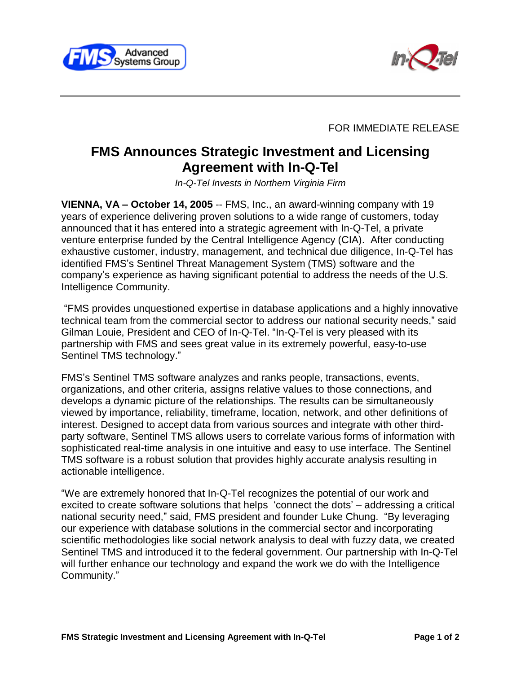



FOR IMMEDIATE RELEASE

## **FMS Announces Strategic Investment and Licensing Agreement with In-Q-Tel**

In-Q-Tel Invests in Northern Virginia Firm

**VIENNA, VA – October 14, 2005** -- FMS, Inc., an award-winning company with 19 years of experience delivering proven solutions to a wide range of customers, today announced that it has entered into a strategic agreement with In-Q-Tel, a private venture enterprise funded by the Central Intelligence Agency (CIA). After conducting exhaustive customer, industry, management, and technical due diligence, In-Q-Tel has identified FMSís Sentinel Threat Management System (TMS) software and the companyís experience as having significant potential to address the needs of the U.S. Intelligence Community.

ìFMS provides unquestioned expertise in database applications and a highly innovative technical team from the commercial sector to address our national security needs," said Gilman Louie, President and CEO of In-Q-Tel. "In-Q-Tel is very pleased with its partnership with FMS and sees great value in its extremely powerful, easy-to-use Sentinel TMS technology."

FMSís Sentinel TMS software analyzes and ranks people, transactions, events, organizations, and other criteria, assigns relative values to those connections, and develops a dynamic picture of the relationships. The results can be simultaneously viewed by importance, reliability, timeframe, location, network, and other definitions of interest. Designed to accept data from various sources and integrate with other third party software, Sentinel TMS allows users to correlate various forms of information with sophisticated real-time analysis in one intuitive and easy to use interface. The Sentinel TMS software is a robust solution that provides highly accurate analysis resulting in actionable intelligence.

ìWe are extremely honored that In-Q-Tel recognizes the potential of our work and excited to create software solutions that helps 'connect the dots' – addressing a critical national security need," said, FMS president and founder Luke Chung. "By leveraging our experience with database solutions in the commercial sector and incorporating scientific methodologies like social network analysis to deal with fuzzy data, we created Sentinel TMS and introduced it to the federal government. Our partnership with In-Q-Tel will further enhance our technology and expand the work we do with the Intelligence Community."